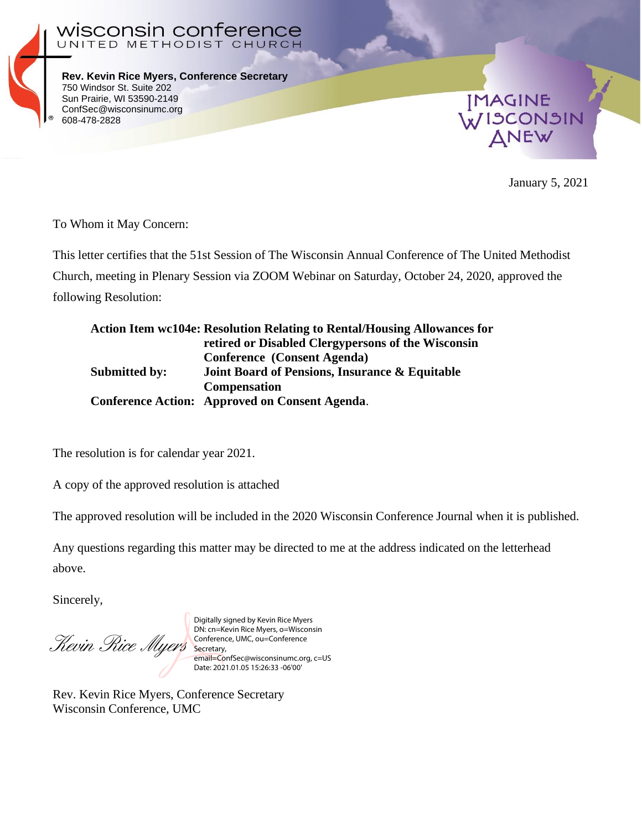

**Rev. Kevin Rice Myers, Conference Secretary** 750 Windsor St. Suite 202 Sun Prairie, WI 53590-2149 ConfSec@wisconsinumc.org 608-478-2828

UNITED METHODIST CHURCH

n conference



January 5, 2021

To Whom it May Concern:

wiscons

This letter certifies that the 51st Session of The Wisconsin Annual Conference of The United Methodist Church, meeting in Plenary Session via ZOOM Webinar on Saturday, October 24, 2020, approved the following Resolution:

|                      | <b>Action Item wc104e: Resolution Relating to Rental/Housing Allowances for</b> |
|----------------------|---------------------------------------------------------------------------------|
|                      | retired or Disabled Clergypersons of the Wisconsin                              |
|                      | <b>Conference</b> (Consent Agenda)                                              |
| <b>Submitted by:</b> | <b>Joint Board of Pensions, Insurance &amp; Equitable</b>                       |
|                      | <b>Compensation</b>                                                             |
|                      | Conference Action: Approved on Consent Agenda.                                  |

The resolution is for calendar year 2021.

A copy of the approved resolution is attached

The approved resolution will be included in the 2020 Wisconsin Conference Journal when it is published.

Any questions regarding this matter may be directed to me at the address indicated on the letterhead above.

Sincerely,

Revin Rice Myers

Digitally signed by Kevin Rice Myers DN: cn=Kevin Rice Myers, o=Wisconsin Conference, UMC, ou=Conference Secretary, email=ConfSec@wisconsinumc.org, c=US Date: 2021.01.05 15:26:33 -06'00'

Rev. Kevin Rice Myers, Conference Secretary Wisconsin Conference, UMC